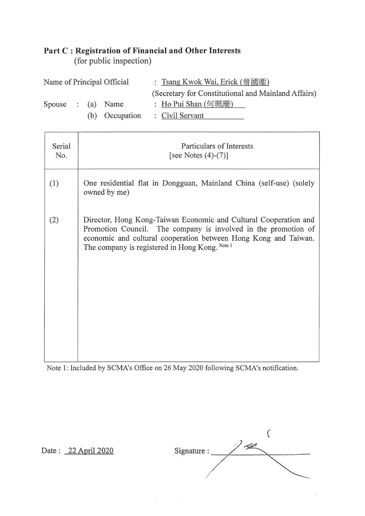## **Part C** : **Registration of Financial and Other Interests**

(for public inspection)

| Name of Principal Official |  |  |                                | : Tsang Kwok Wai, Erick (曾國衞) |                                                     |  |
|----------------------------|--|--|--------------------------------|-------------------------------|-----------------------------------------------------|--|
|                            |  |  |                                |                               | (Secretary for Constitutional and Mainland Affairs) |  |
| Spouse : (a) Name          |  |  |                                |                               | : Ho Pui Shan (何珮珊)                                 |  |
|                            |  |  | (b) Occupation : Civil Servant |                               |                                                     |  |

| Serial<br>No. | Particulars of Interests<br>[see Notes $(4)-(7)$ ]                                                                                                                                                                                                      |
|---------------|---------------------------------------------------------------------------------------------------------------------------------------------------------------------------------------------------------------------------------------------------------|
| (1)           | One residential flat in Dongguan, Mainland China (self-use) (solely<br>owned by me)                                                                                                                                                                     |
| (2)           | Director, Hong Kong-Taiwan Economic and Cultural Cooperation and<br>Promotion Council. The company is involved in the promotion of<br>economic and cultural cooperation between Hong Kong and Taiwan.<br>The company is registered in Hong Kong. Note 1 |

Note 1: Included by SCMA's Office on 26 May 2020 following SCMA's notification.

*(*  ' Date : 22 April 2020 Signature : //  $\diagup$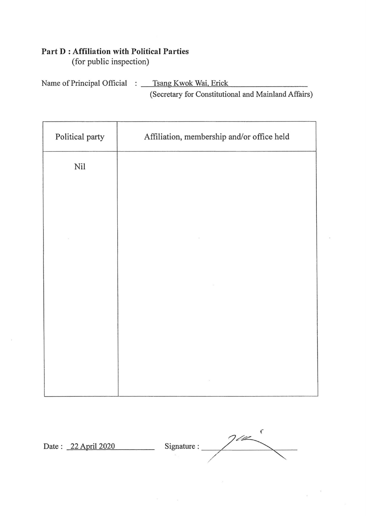## Part D: Affiliation with Political Parties

(for public inspection)

Name of Principal Official : \_\_\_ Tsang Kwok Wai, Erick (Secretary for Constitutional and Mainland Affairs)

| Political party | Affiliation, membership and/or office held |  |  |  |  |
|-----------------|--------------------------------------------|--|--|--|--|
| Nil             |                                            |  |  |  |  |
|                 |                                            |  |  |  |  |
|                 |                                            |  |  |  |  |
|                 |                                            |  |  |  |  |
|                 |                                            |  |  |  |  |
|                 |                                            |  |  |  |  |
|                 |                                            |  |  |  |  |
|                 |                                            |  |  |  |  |
|                 |                                            |  |  |  |  |

 $\boldsymbol{\epsilon}$  $7/2$ Date: 22 April 2020 Signature: